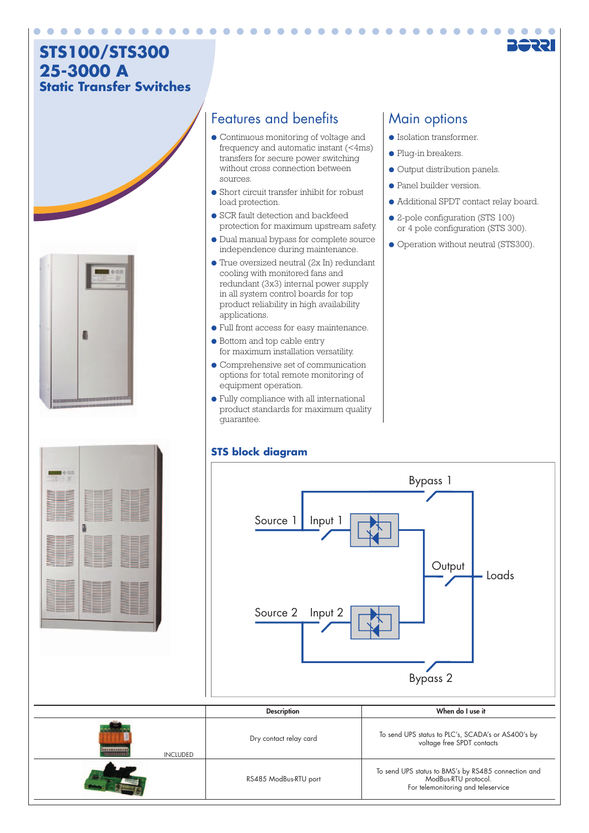# **STS100/STS300 25-3000 A Static Transfer Switches**



## Features and benefits | Main options

- Continuous monitoring of voltage and frequency and automatic instant (<4ms) transfers for secure power switching without cross connection between sources.
- Short circuit transfer inhibit for robust load protection.
- SCR fault detection and backfeed protection for maximum upstream safety.
- Dual manual bypass for complete source independence during maintenance.
- True oversized neutral (2x In) redundant cooling with monitored fans and redundant (3x3) internal power supply in all system control boards for top product reliability in high availability applications.
- Full front access for easy maintenance.
- Bottom and top cable entry for maximum installation versatility.
- Comprehensive set of communication options for total remote monitoring of equipment operation.
- Fully compliance with all international product standards for maximum quality guarantee.

### **STS block diagram**

- Isolation transformer.
- Plug-in breakers.
- Output distribution panels.
- Panel builder version.
- Additional SPDT contact relay board.
- 2-pole configuration (STS 100) or 4 pole configuration (STS 300).
- Operation without neutral (STS300).



# RS485 ModBus-RTU port To send UPS status to BMS's by RS485 connection and ModBus-RTU protocol. For telemonitoring and teleservice voltage free SPDT contacts INCLUDED